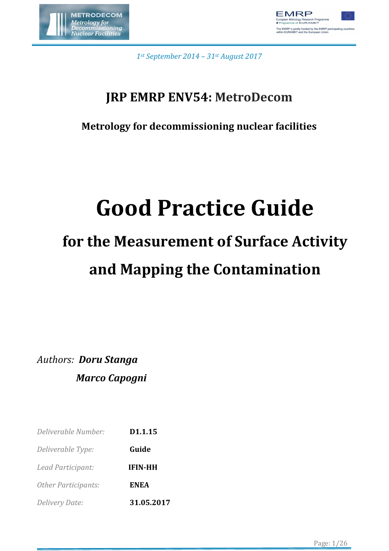



*1st September 2014 – 31st August 2017*

### **JRP EMRP ENV54: MetroDecom**

**Metrology for decommissioning nuclear facilities** 

# **Good Practice Guide**

# **for the Measurement of Surface Activity and Mapping the Contamination**

*Authors: Doru Stanga Marco Capogni* 

| Deliverable Number:        | D1.1.15        |
|----------------------------|----------------|
| Deliverable Type:          | Guide          |
| Lead Participant:          | <b>IFIN-HH</b> |
| <b>Other Participants:</b> | <b>ENEA</b>    |
| Delivery Date:             | 31.05.2017     |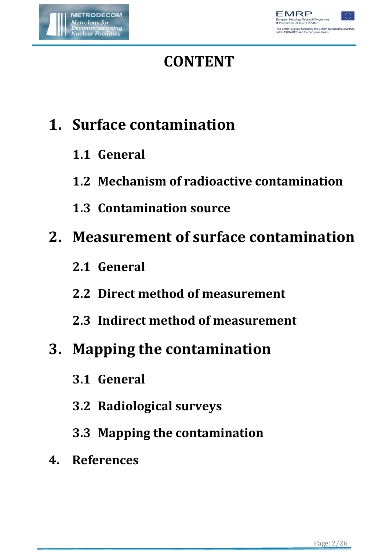



# **CONTENT**

# **1. Surface contamination**

- **1.1 General**
- **1.2 Mechanism of radioactive contamination**
- **1.3 Contamination source**

# **2. Measurement of surface contamination**

- **2.1 General**
- **2.2 Direct method of measurement**
- **2.3 Indirect method of measurement**

## **3. Mapping the contamination**

- **3.1 General**
- **3.2 Radiological surveys**
- **3.3 Mapping the contamination**
- **4. References**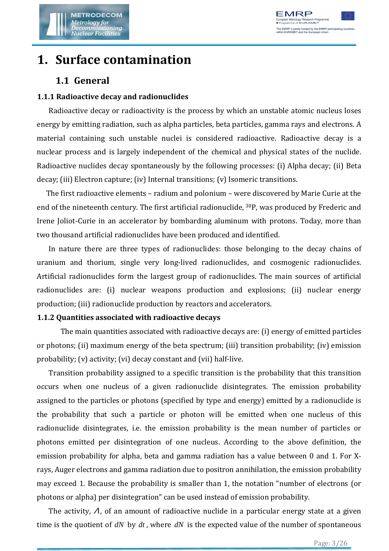

### **1. Surface contamination**

#### **1.1 General**

#### **1.1.1 Radioactive decay and radionuclides**

Radioactive decay or radioactivity is the process by which an unstable atomic nucleus loses energy by emitting radiation, such as alpha particles, beta particles, gamma rays and electrons. A material containing such unstable nuclei is considered radioactive. Radioactive decay is a nuclear process and is largely independent of the chemical and physical states of the nuclide. Radioactive nuclides decay spontaneously by the following processes: (i) Alpha decay; (ii) Beta decay; (iii) Electron capture; (iv) Internal transitions; (v) Isomeric transitions.

The first radioactive elements – radium and polonium – were discovered by Marie Curie at the end of the nineteenth century. The first artificial radionuclide, 30P, was produced by Frederic and Irene Joliot-Curie in an accelerator by bombarding aluminum with protons. Today, more than two thousand artificial radionuclides have been produced and identified.

In nature there are three types of radionuclides: those belonging to the decay chains of uranium and thorium, single very long-lived radionuclides, and cosmogenic radionuclides. Artificial radionuclides form the largest group of radionuclides. The main sources of artificial radionuclides are: (i) nuclear weapons production and explosions; (ii) nuclear energy production; (iii) radionuclide production by reactors and accelerators.

#### **1.1.2 Quantities associated with radioactive decays**

The main quantities associated with radioactive decays are: (i) energy of emitted particles or photons; (ii) maximum energy of the beta spectrum; (iii) transition probability; (iv) emission probability; (v) activity; (vi) decay constant and (vii) half-live.

Transition probability assigned to a specific transition is the probability that this transition occurs when one nucleus of a given radionuclide disintegrates. The emission probability assigned to the particles or photons (specified by type and energy) emitted by a radionuclide is the probability that such a particle or photon will be emitted when one nucleus of this radionuclide disintegrates, i.e. the emission probability is the mean number of particles or photons emitted per disintegration of one nucleus. According to the above definition, the emission probability for alpha, beta and gamma radiation has a value between 0 and 1. For Xrays, Auger electrons and gamma radiation due to positron annihilation, the emission probability may exceed 1. Because the probability is smaller than 1, the notation "number of electrons (or photons or alpha) per disintegration" can be used instead of emission probability.

The activity,  $\Lambda$ , of an amount of radioactive nuclide in a particular energy state at a given time is the quotient of *dN* by *dt* , where *dN* is the expected value of the number of spontaneous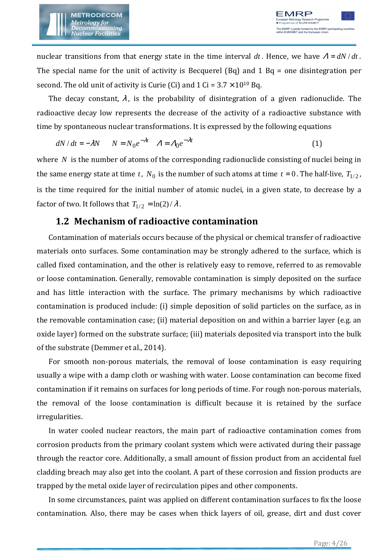

nuclear transitions from that energy state in the time interval  $dt$ . Hence, we have  $A = dN/dt$ . The special name for the unit of activity is Becquerel (Bq) and 1 Bq = one disintegration per second. The old unit of activity is Curie (Ci) and  $1$  Ci =  $3.7 \times 10^{10}$  Bq.

The decay constant,  $\lambda$ , is the probability of disintegration of a given radionuclide. The radioactive decay low represents the decrease of the activity of a radioactive substance with time by spontaneous nuclear transformations. It is expressed by the following equations

$$
dN/dt = -\lambda N \qquad N = N_0 e^{-\lambda t} \qquad A = A_0 e^{-\lambda t} \tag{1}
$$

where *N* is the number of atoms of the corresponding radionuclide consisting of nuclei being in the same energy state at time *t* ,  $N_0$  is the number of such atoms at time *t* = 0. The half-live,  $T_{1/2}$ , is the time required for the initial number of atomic nuclei, in a given state, to decrease by a factor of two. It follows that  $T_{1/2} = \ln(2)/\lambda$ .

#### **1.2 Mechanism of radioactive contamination**

Contamination of materials occurs because of the physical or chemical transfer of radioactive materials onto surfaces. Some contamination may be strongly adhered to the surface, which is called fixed contamination, and the other is relatively easy to remove, referred to as removable or loose contamination. Generally, removable contamination is simply deposited on the surface and has little interaction with the surface. The primary mechanisms by which radioactive contamination is produced include: (i) simple deposition of solid particles on the surface, as in the removable contamination case; (ii) material deposition on and within a barrier layer (e.g. an oxide layer) formed on the substrate surface; (iii) materials deposited via transport into the bulk of the substrate (Demmer et al., 2014).

For smooth non-porous materials, the removal of loose contamination is easy requiring usually a wipe with a damp cloth or washing with water. Loose contamination can become fixed contamination if it remains on surfaces for long periods of time. For rough non-porous materials, the removal of the loose contamination is difficult because it is retained by the surface irregularities.

In water cooled nuclear reactors, the main part of radioactive contamination comes from corrosion products from the primary coolant system which were activated during their passage through the reactor core. Additionally, a small amount of fission product from an accidental fuel cladding breach may also get into the coolant. A part of these corrosion and fission products are trapped by the metal oxide layer of recirculation pipes and other components.

In some circumstances, paint was applied on different contamination surfaces to fix the loose contamination. Also, there may be cases when thick layers of oil, grease, dirt and dust cover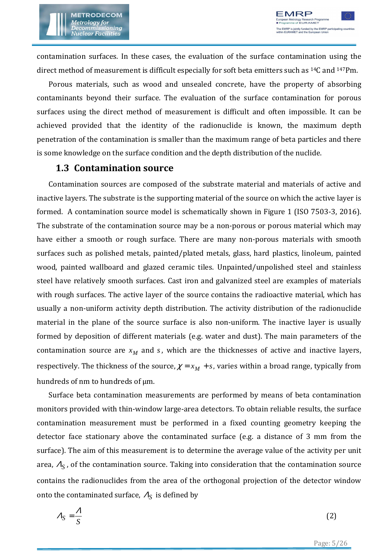

contamination surfaces. In these cases, the evaluation of the surface contamination using the direct method of measurement is difficult especially for soft beta emitters such as 14C and 147Pm.

Porous materials, such as wood and unsealed concrete, have the property of absorbing contaminants beyond their surface. The evaluation of the surface contamination for porous surfaces using the direct method of measurement is difficult and often impossible. It can be achieved provided that the identity of the radionuclide is known, the maximum depth penetration of the contamination is smaller than the maximum range of beta particles and there is some knowledge on the surface condition and the depth distribution of the nuclide.

#### **1.3 Contamination source**

Contamination sources are composed of the substrate material and materials of active and inactive layers. The substrate is the supporting material of the source on which the active layer is formed. A contamination source model is schematically shown in Figure 1 (ISO 7503-3, 2016). The substrate of the contamination source may be a non-porous or porous material which may have either a smooth or rough surface. There are many non-porous materials with smooth surfaces such as polished metals, painted/plated metals, glass, hard plastics, linoleum, painted wood, painted wallboard and glazed ceramic tiles. Unpainted/unpolished steel and stainless steel have relatively smooth surfaces. Cast iron and galvanized steel are examples of materials with rough surfaces. The active layer of the source contains the radioactive material, which has usually a non-uniform activity depth distribution. The activity distribution of the radionuclide material in the plane of the source surface is also non-uniform. The inactive layer is usually formed by deposition of different materials (e.g. water and dust). The main parameters of the contamination source are  $x_M$  and  $s$ , which are the thicknesses of active and inactive layers, respectively. The thickness of the source,  $\chi = x_M + s$ , varies within a broad range, typically from hundreds of nm to hundreds of  $\mu$ m.

Surface beta contamination measurements are performed by means of beta contamination monitors provided with thin-window large-area detectors. To obtain reliable results, the surface contamination measurement must be performed in a fixed counting geometry keeping the detector face stationary above the contaminated surface (e.g. a distance of 3 mm from the surface). The aim of this measurement is to determine the average value of the activity per unit area,  $\varLambda_{S}$  , of the contamination source. Taking into consideration that the contamination source contains the radionuclides from the area of the orthogonal projection of the detector window onto the contaminated surface,  $\varLambda_S$  is defined by

$$
A_S = \frac{A}{S} \tag{2}
$$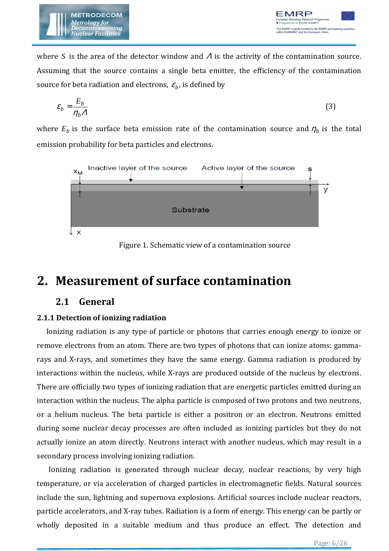

where *S* is the area of the detector window and Λ is the activity of the contamination source. Assuming that the source contains a single beta emitter, the efficiency of the contamination source for beta radiation and electrons,  $\varepsilon_b$ , is defined by

$$
\varepsilon_b = \frac{E_b}{\eta_b A} \tag{3}
$$

where  $E_b$  is the surface beta emission rate of the contamination source and  $\eta_b$  is the total emission probability for beta particles and electrons.



Figure 1. Schematic view of a contamination source

### **2. Measurement of surface contamination**

#### **2.1 General**

#### **2.1.1 Detection of ionizing radiation**

Ionizing radiation is any type of particle or photons that carries enough energy to ionize or remove electrons from an atom. There are two types of photons that can ionize atoms: gammarays and X-rays, and sometimes they have the same energy. Gamma radiation is produced by interactions within the nucleus, while X-rays are produced outside of the nucleus by electrons. There are officially two types of ionizing radiation that are energetic particles emitted during an interaction within the nucleus. The alpha particle is composed of two protons and two neutrons, or a helium nucleus. The beta particle is either a positron or an electron. Neutrons emitted during some nuclear decay processes are often included as ionizing particles but they do not actually ionize an atom directly. Neutrons interact with another nucleus, which may result in a secondary process involving ionizing radiation.

 Ionizing radiation is generated through nuclear decay, nuclear reactions, by very high temperature, or via acceleration of charged particles in electromagnetic fields. Natural sources include the sun, lightning and supernova explosions. Artificial sources include nuclear reactors, particle accelerators, and X-ray tubes. Radiation is a form of energy. This energy can be partly or wholly deposited in a suitable medium and thus produce an effect. The detection and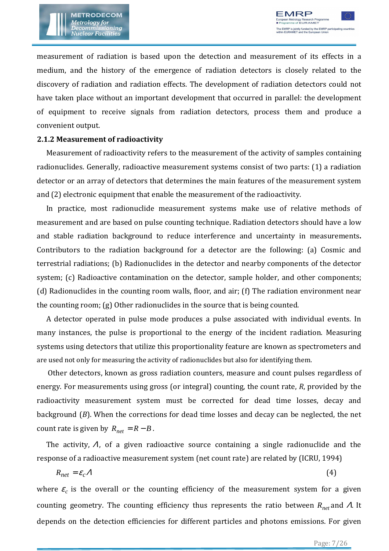

measurement of radiation is based upon the detection and measurement of its effects in a medium, and the history of the emergence of radiation detectors is closely related to the discovery of radiation and radiation effects. The development of radiation detectors could not have taken place without an important development that occurred in parallel: the development of equipment to receive signals from radiation detectors, process them and produce a convenient output.

#### **2.1.2 Measurement of radioactivity**

Measurement of radioactivity refers to the measurement of the activity of samples containing radionuclides. Generally, radioactive measurement systems consist of two parts: (1) a radiation detector or an array of detectors that determines the main features of the measurement system and (2) electronic equipment that enable the measurement of the radioactivity.

In practice, most radionuclide measurement systems make use of relative methods of measurement and are based on pulse counting technique. Radiation detectors should have a low and stable radiation background to reduce interference and uncertainty in measurements**.**  Contributors to the radiation background for a detector are the following: (a) Cosmic and terrestrial radiations; (b) Radionuclides in the detector and nearby components of the detector system; (c) Radioactive contamination on the detector, sample holder, and other components; (d) Radionuclides in the counting room walls, floor, and air; (f) The radiation environment near the counting room; (g) Other radionuclides in the source that is being counted.

A detector operated in pulse mode produces a pulse associated with individual events. In many instances, the pulse is proportional to the energy of the incident radiation. Measuring systems using detectors that utilize this proportionality feature are known as spectrometers and are used not only for measuring the activity of radionuclides but also for identifying them.

 Other detectors, known as gross radiation counters, measure and count pulses regardless of energy. For measurements using gross (or integral) counting, the count rate, *R*, provided by the radioactivity measurement system must be corrected for dead time losses, decay and background (*B*). When the corrections for dead time losses and decay can be neglected, the net count rate is given by  $R_{net} = R - B$ .

The activity,  $\Lambda$ , of a given radioactive source containing a single radionuclide and the response of a radioactive measurement system (net count rate) are related by (ICRU, 1994)

$$
R_{net} = \varepsilon_c A \tag{4}
$$

where  $\varepsilon_c$  is the overall or the counting efficiency of the measurement system for a given counting geometry. The counting efficiency thus represents the ratio between *Rnet* and Λ. It depends on the detection efficiencies for different particles and photons emissions. For given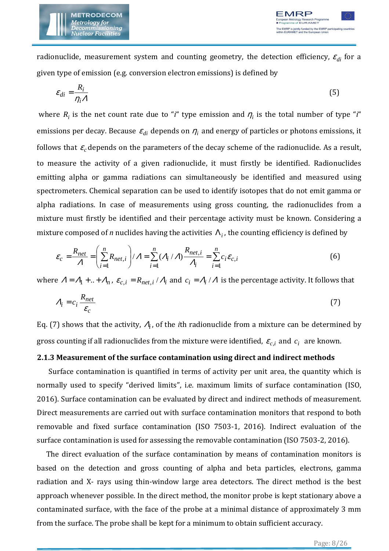

radionuclide, measurement system and counting geometry, the detection efficiency,  $\varepsilon_{di}$  for a given type of emission (e.g. conversion electron emissions) is defined by

$$
\varepsilon_{di} = \frac{R_i}{\eta_i A} \tag{5}
$$

where  $R_i$  is the net count rate due to "*i*" type emission and  $\eta_i$  is the total number of type "*i*" emissions per decay. Because  $\varepsilon_{di}$  depends on  $\eta_i$  and energy of particles or photons emissions, it follows that  $\varepsilon_c$  depends on the parameters of the decay scheme of the radionuclide. As a result, to measure the activity of a given radionuclide, it must firstly be identified. Radionuclides emitting alpha or gamma radiations can simultaneously be identified and measured using spectrometers. Chemical separation can be used to identify isotopes that do not emit gamma or alpha radiations. In case of measurements using gross counting, the radionuclides from a mixture must firstly be identified and their percentage activity must be known. Considering a mixture composed of *n* nuclides having the activities  $\Lambda_i$ , the counting efficiency is defined by

$$
\varepsilon_c = \frac{R_{net}}{\Lambda} = \left(\sum_{i=1}^n R_{net,i}\right) / \Lambda = \sum_{i=1}^n (\Lambda_i / \Lambda) \frac{R_{net,i}}{\Lambda_i} = \sum_{i=1}^n c_i \varepsilon_{c,i}
$$
(6)

where  $A = A_1 + ... + A_n$ ,  $\varepsilon_{c,i} = R_{net,i} / A_i$  and  $c_i = A_i / A$  is the percentage activity. It follows that

$$
A_i = c_i \frac{R_{net}}{\varepsilon_c} \tag{7}
$$

Eq. (7) shows that the activity,  $\varLambda_{\bm i}$ , of the *i*th radionuclide from a mixture can be determined by gross counting if all radionuclides from the mixture were identified,  $\varepsilon_{c,i}$  and  $c_i$  are known.

#### **2.1.3 Measurement of the surface contamination using direct and indirect methods**

Surface contamination is quantified in terms of activity per unit area, the quantity which is normally used to specify "derived limits", i.e. maximum limits of surface contamination (ISO, 2016). Surface contamination can be evaluated by direct and indirect methods of measurement. Direct measurements are carried out with surface contamination monitors that respond to both removable and fixed surface contamination (ISO 7503-1, 2016). Indirect evaluation of the surface contamination is used for assessing the removable contamination (ISO 7503-2, 2016).

The direct evaluation of the surface contamination by means of contamination monitors is based on the detection and gross counting of alpha and beta particles, electrons, gamma radiation and X- rays using thin-window large area detectors. The direct method is the best approach whenever possible. In the direct method, the monitor probe is kept stationary above a contaminated surface, with the face of the probe at a minimal distance of approximately 3 mm from the surface. The probe shall be kept for a minimum to obtain sufficient accuracy.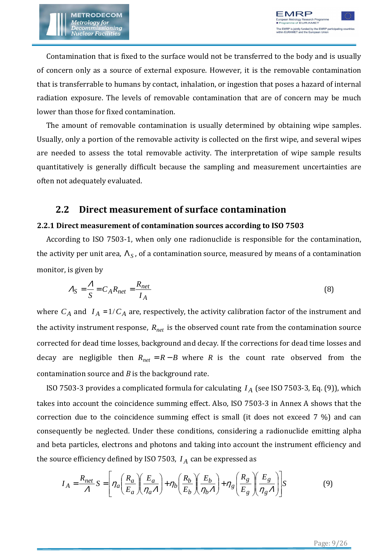Contamination that is fixed to the surface would not be transferred to the body and is usually of concern only as a source of external exposure. However, it is the removable contamination that is transferrable to humans by contact, inhalation, or ingestion that poses a hazard of internal radiation exposure. The levels of removable contamination that are of concern may be much lower than those for fixed contamination.

The amount of removable contamination is usually determined by obtaining wipe samples. Usually, only a portion of the removable activity is collected on the first wipe, and several wipes are needed to assess the total removable activity. The interpretation of wipe sample results quantitatively is generally difficult because the sampling and measurement uncertainties are often not adequately evaluated.

#### **2.2 Direct measurement of surface contamination**

#### **2.2.1 Direct measurement of contamination sources according to ISO 7503**

According to ISO 7503-1, when only one radionuclide is responsible for the contamination, the activity per unit area,  $\Lambda_S$  , of a contamination source, measured by means of a contamination monitor, is given by

$$
A_S = \frac{A}{S} = C_A R_{net} = \frac{R_{net}}{I_A}
$$
\n(8)

where  $C_A$  and  $I_A = 1/C_A$  are, respectively, the activity calibration factor of the instrument and the activity instrument response, *Rnet* is the observed count rate from the contamination source corrected for dead time losses, background and decay. If the corrections for dead time losses and decay are negligible then  $R_{net} = R - B$  where *R* is the count rate observed from the contamination source and *B* is the background rate.

ISO 7503-3 provides a complicated formula for calculating *I <sup>A</sup>* (see ISO 7503-3, Eq. (9)), which takes into account the coincidence summing effect. Also, ISO 7503-3 in Annex A shows that the correction due to the coincidence summing effect is small (it does not exceed 7 %) and can consequently be neglected. Under these conditions, considering a radionuclide emitting alpha and beta particles, electrons and photons and taking into account the instrument efficiency and the source efficiency defined by ISO 7503,  $I_A$  can be expressed as

$$
I_A = \frac{R_{net}}{A} S = \left[ \eta_a \left( \frac{R_a}{E_a} \right) \left( \frac{E_a}{\eta_a A} \right) + \eta_b \left( \frac{R_b}{E_b} \right) \left( \frac{E_b}{\eta_b A} \right) + \eta_g \left( \frac{R_g}{E_g} \right) \left( \frac{E_g}{\eta_g A} \right) \right] S \tag{9}
$$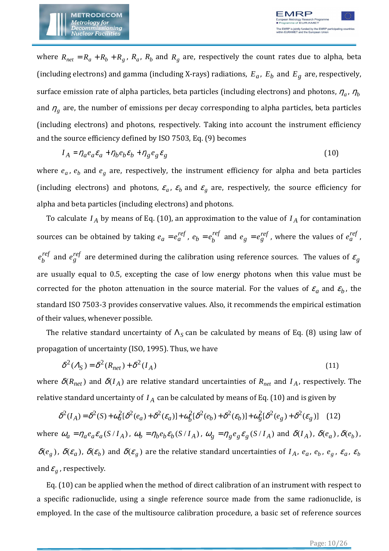

where  $R_{net} = R_a + R_b + R_g$ ,  $R_a$ ,  $R_b$  and  $R_g$  are, respectively the count rates due to alpha, beta (including electrons) and gamma (including X-rays) radiations,  $E_a$ ,  $E_b$  and  $E_g$  are, respectively, surface emission rate of alpha particles, beta particles (including electrons) and photons,  $\eta_a$ ,  $\eta_b$ and  $\eta_{g}$  are, the number of emissions per decay corresponding to alpha particles, beta particles (including electrons) and photons, respectively. Taking into account the instrument efficiency and the source efficiency defined by ISO 7503, Eq. (9) becomes

$$
I_A = \eta_a e_a \varepsilon_a + \eta_b e_b \varepsilon_b + \eta_g e_g \varepsilon_g \tag{10}
$$

where  $e_a$ ,  $e_b$  and  $e_g$  are, respectively, the instrument efficiency for alpha and beta particles (including electrons) and photons,  $\varepsilon_a$ ,  $\varepsilon_b$  and  $\varepsilon_g$  are, respectively, the source efficiency for alpha and beta particles (including electrons) and photons.

To calculate  $I_A$  by means of Eq. (10), an approximation to the value of  $I_A$  for contamination sources can be obtained by taking  $e_a = e_a^{ref}$  ,  $e_b = e_b^{ref}$  $e_b = e_b^{ref}$  and  $e_g = e_g^{ref}$ , where the values of  $e_a^{ref}$ , *ref*  $e_{b}^{ref}$  and  $e_{g}^{ref}$  are determined during the calibration using reference sources. The values of  $\varepsilon_{g}$ are usually equal to 0.5, excepting the case of low energy photons when this value must be corrected for the photon attenuation in the source material. For the values of  $\varepsilon_a$  and  $\varepsilon_b$ , the standard ISO 7503-3 provides conservative values. Also, it recommends the empirical estimation of their values, whenever possible.

The relative standard uncertainty of  $\Lambda_S$  can be calculated by means of Eq. (8) using law of propagation of uncertainty (ISO, 1995). Thus, we have

$$
\delta^2(\Lambda_S) = \delta^2(R_{net}) + \delta^2(I_A)
$$
\n(11)

where  $\delta(R_{net})$  and  $\delta(I_A)$  are relative standard uncertainties of  $R_{net}$  and  $I_A$ , respectively. The relative standard uncertainty of *I <sup>A</sup>* can be calculated by means of Eq. (10) and is given by

$$
\delta^{2}(I_{A}) = \delta^{2}(S) + \omega_{a}^{2} [\delta^{2}(e_{a}) + \delta^{2}(e_{a})] + \omega_{b}^{2} [\delta^{2}(e_{b}) + \delta^{2}(e_{b})] + \omega_{g}^{2} [\delta^{2}(e_{g}) + \delta^{2}(e_{g})]
$$
(12)

where  $\omega_a = \eta_a e_a \varepsilon_a (S/I_A)$ ,  $\omega_b = \eta_b e_b \varepsilon_b (S/I_A)$ ,  $\omega_g = \eta_g e_g \varepsilon_g (S/I_A)$  and  $\delta(I_A)$ ,  $\delta(e_a)$ ,  $\delta(e_b)$ ,  $\delta(e_g)$ ,  $\delta(\varepsilon_a)$ ,  $\delta(\varepsilon_b)$  and  $\delta(\varepsilon_g)$  are the relative standard uncertainties of  $I_A$ ,  $e_a$ ,  $e_b$ ,  $e_g$ ,  $\varepsilon_a$ ,  $\varepsilon_b$ and  $\varepsilon_{_g}$  , respectively.

Eq. (10) can be applied when the method of direct calibration of an instrument with respect to a specific radionuclide, using a single reference source made from the same radionuclide, is employed. In the case of the multisource calibration procedure, a basic set of reference sources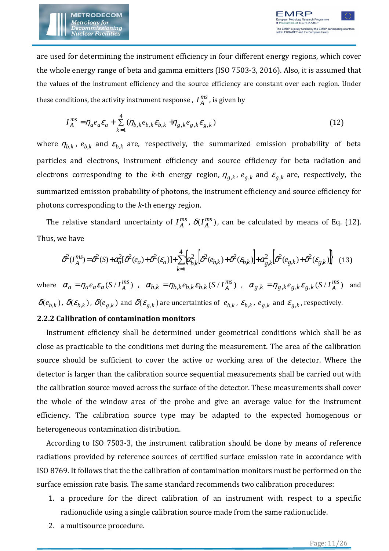

are used for determining the instrument efficiency in four different energy regions, which cover the whole energy range of beta and gamma emitters (ISO 7503-3, 2016). Also, it is assumed that the values of the instrument efficiency and the source efficiency are constant over each region. Under these conditions, the activity instrument response ,  $I^{ms}_{\ A}$  $I_A^{ms}$  , is given by

$$
I_A^{ms} = \eta_a e_a \varepsilon_a + \sum_{k=1}^4 (\eta_{b,k} e_{b,k} \varepsilon_{b,k} + \eta_{g,k} e_{g,k} \varepsilon_{g,k})
$$
(12)

where  $\eta_{b,k}$ ,  $e_{b,k}$  and  $\varepsilon_{b,k}$  are, respectively, the summarized emission probability of beta particles and electrons, instrument efficiency and source efficiency for beta radiation and electrons corresponding to the *k*-th energy region,  $\eta_{g,k}$ ,  $e_{g,k}$  and  $\varepsilon_{g,k}$  are, respectively, the summarized emission probability of photons, the instrument efficiency and source efficiency for photons corresponding to the *k*-th energy region.

The relative standard uncertainty of  $I_A^{ms}$ ,  $\delta(I_A^{ms})$  $\delta(I_A^{ms})$ , can be calculated by means of Eq. (12). Thus, we have

$$
\delta^2(I_A^{ms}) = \delta^2(S) + \alpha_a^2[\delta^2(e_a) + \delta^2(\varepsilon_a)] + \sum_{k=1}^4 \alpha_{b,k}^2[\delta^2(e_{b,k}) + \delta^2(\varepsilon_{b,k})] + \alpha_{g,k}^2[\delta^2(e_{g,k}) + \delta^2(\varepsilon_{g,k})]
$$
(13)

where  $\alpha_a = \eta_a e_a \varepsilon_a (S/I_A^{ms})$  $\alpha_a = \eta_a e_a \varepsilon_a (S/I_A^{ms})$ ,  $\alpha_{b,k} = \eta_{b,k} e_{b,k} \varepsilon_{b,k} (S/I_A^{ms})$  $\alpha_{b,k} = \eta_{b,k} e_{b,k} \mathcal{E}_{b,k} (S / I_A^{ms})$ ,  $\alpha_{g,k} = \eta_{g,k} e_{g,k} \mathcal{E}_{g,k} (S / I_A^{ms})$ *ms*  $\alpha_{g,k} = \eta_{g,k} e_{g,k} \varepsilon_{g,k} (S/I_A^{ms})$  and  $\delta(e_{b,k})$ ,  $\delta(e_{b,k})$ ,  $\delta(e_{g,k})$  and  $\delta(e_{g,k})$  are uncertainties of  $e_{b,k}$ ,  $e_{b,k}$ ,  $e_{g,k}$  and  $\varepsilon_{g,k}$ , respectively.

#### **2.2.2 Calibration of contamination monitors**

Instrument efficiency shall be determined under geometrical conditions which shall be as close as practicable to the conditions met during the measurement. The area of the calibration source should be sufficient to cover the active or working area of the detector. Where the detector is larger than the calibration source sequential measurements shall be carried out with the calibration source moved across the surface of the detector. These measurements shall cover the whole of the window area of the probe and give an average value for the instrument efficiency. The calibration source type may be adapted to the expected homogenous or heterogeneous contamination distribution.

According to ISO 7503-3, the instrument calibration should be done by means of reference radiations provided by reference sources of certified surface emission rate in accordance with ISO 8769. It follows that the the calibration of contamination monitors must be performed on the surface emission rate basis. The same standard recommends two calibration procedures:

- 1. a procedure for the direct calibration of an instrument with respect to a specific radionuclide using a single calibration source made from the same radionuclide.
- 2. a multisource procedure.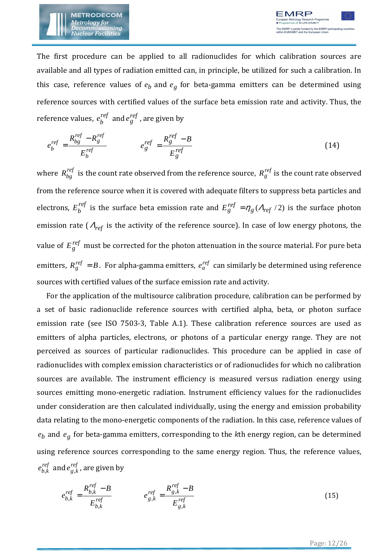

The first procedure can be applied to all radionuclides for which calibration sources are available and all types of radiation emitted can, in principle, be utilized for such a calibration. In this case, reference values of  $e_b$  and  $e_g$  for beta-gamma emitters can be determined using reference sources with certified values of the surface beta emission rate and activity. Thus, the reference values,  $e^{\textit{ref}}_{b}$  and  $e^{\textit{ref}}_{g}$  , are given by

$$
e_b^{ref} = \frac{R_{bg}^{ref} - R_g^{ref}}{E_b^{ref}} \qquad \qquad e_g^{ref} = \frac{R_g^{ref} - B}{E_g^{ref}} \tag{14}
$$

where  $R_{bg}^{ref}$  is the count rate observed from the reference source,  $R_g^{ref}$  is the count rate observed from the reference source when it is covered with adequate filters to suppress beta particles and electrons,  $E_b^{ref}$  is the surface beta emission rate and  $E_g^{ref} = \eta_g (A_{ref}/2)$  is the surface photon emission rate (<sup>Λ</sup>*ref* is the activity of the reference source). In case of low energy photons, the value of  $E_{g}^{ref}$  must be corrected for the photon attenuation in the source material. For pure beta emitters,  $R_g^{ref} = B$ . For alpha-gamma emitters,  $e_a^{ref}$  can similarly be determined using reference sources with certified values of the surface emission rate and activity.

For the application of the multisource calibration procedure, calibration can be performed by a set of basic radionuclide reference sources with certified alpha, beta, or photon surface emission rate (see ISO 7503-3, Table A.1). These calibration reference sources are used as emitters of alpha particles, electrons, or photons of a particular energy range. They are not perceived as sources of particular radionuclides. This procedure can be applied in case of radionuclides with complex emission characteristics or of radionuclides for which no calibration sources are available. The instrument efficiency is measured versus radiation energy using sources emitting mono-energetic radiation. Instrument efficiency values for the radionuclides under consideration are then calculated individually, using the energy and emission probability data relating to the mono-energetic components of the radiation. In this case, reference values of  $e_b$  and  $e_g$  for beta-gamma emitters, corresponding to the *k*th energy region, can be determined using reference sources corresponding to the same energy region. Thus, the reference values, *ref*  $e^{ref}_{b,k}$  and  $e^{ref}_{g,k}$  , are given by

$$
e_{b,k}^{ref} = \frac{R_{b,k}^{ref} - B}{E_{b,k}^{ref}} \qquad e_{g,k}^{ref} = \frac{R_{g,k}^{ref} - B}{E_{g,k}^{ref}}
$$
(15)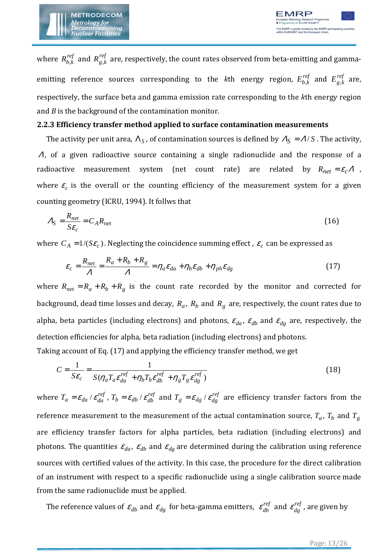

where  $\,R^{ref}_{b,k}\,$  and  $\,R^{ref}_{g,k}\,$  are, respectively, the count rates observed from beta-emitting and gammaemitting reference sources corresponding to the *k*th energy region,  $E_{b,k}^{ref}$  and  $E_{g,k}^{ref}$  are, respectively, the surface beta and gamma emission rate corresponding to the *k*th energy region and *B* is the background of the contamination monitor.

#### **2.2.3 Efficiency transfer method applied to surface contamination measurements**

The activity per unit area,  $\Lambda_S$ , of contamination sources is defined by  $A_S = A/S$ . The activity, <sup>Λ</sup>, of a given radioactive source containing a single radionuclide and the response of a radioactive measurement system (net count rate) are related by  $R_{net} = \varepsilon_c \Lambda$ , where  $\varepsilon_c$  is the overall or the counting efficiency of the measurement system for a given counting geometry (ICRU, 1994). It follws that

$$
A_S = \frac{R_{net}}{S\epsilon_c} = C_A R_{net} \tag{16}
$$

where  $C_A = 1/(S \varepsilon_c)$ . Neglecting the coincidence summing effect ,  $\varepsilon_c$  can be expressed as

$$
\varepsilon_c = \frac{R_{net}}{\Lambda} = \frac{R_a + R_b + R_g}{\Lambda} = \eta_a \varepsilon_{da} + \eta_b \varepsilon_{db} + \eta_{ph} \varepsilon_{dg}
$$
(17)

where  $R_{net} = R_a + R_b + R_g$  is the count rate recorded by the monitor and corrected for background, dead time losses and decay, *R<sup>a</sup>* , *R<sup>b</sup>* and *R<sup>g</sup>* are, respectively, the count rates due to alpha, beta particles (including electrons) and photons,  $\varepsilon_{da}$ ,  $\varepsilon_{db}$  and  $\varepsilon_{dg}$  are, respectively, the detection efficiencies for alpha, beta radiation (including electrons) and photons. Taking account of Eq. (17) and applying the efficiency transfer method, we get

$$
C = \frac{1}{S\varepsilon_c} = \frac{1}{S(\eta_a T_a \varepsilon_{da}^{ref} + \eta_b T_b \varepsilon_{db}^{ref} + \eta_g T_g \varepsilon_{dg}^{ref})}
$$
(18)

where  $T_a = \varepsilon_{da}$  /  $\varepsilon_{da}^{ref}$  ,  $T_b = \varepsilon_{db}$  /  $\varepsilon_{db}^{ref}$  and  $T_g = \varepsilon_{dg}$  /  $\varepsilon_{dg}^{ref}$  are efficiency transfer factors from the reference measurement to the measurement of the actual contamination source,  $T_a$ ,  $T_b$  and  $T_g$ are efficiency transfer factors for alpha particles, beta radiation (including electrons) and photons. The quantities  $\varepsilon_{da}$ ,  $\varepsilon_{db}$  and  $\varepsilon_{dg}$  are determined during the calibration using reference sources with certified values of the activity. In this case, the procedure for the direct calibration of an instrument with respect to a specific radionuclide using a single calibration source made from the same radionuclide must be applied.

The reference values of  $\varepsilon_{db}$  and  $\varepsilon_{dg}$  for beta-gamma emitters,  $\;\varepsilon_{db}^{ref}$  and  $\;\varepsilon_{dg}^{ref}$  , are given by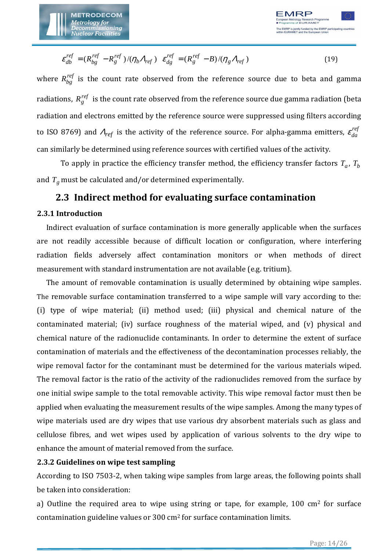

$$
\varepsilon_{db}^{ref} = (R_{bg}^{ref} - R_g^{ref})/(\eta_b \Lambda_{ref}) \varepsilon_{dg}^{ref} = (R_g^{ref} - B)/(\eta_g \Lambda_{ref})
$$
(19)

where  $R_{bg}^{ref}$  is the count rate observed from the reference source due to beta and gamma radiations,  $R_g^{ref}$  is the count rate observed from the reference source due gamma radiation (beta radiation and electrons emitted by the reference source were suppressed using filters according to ISO 8769) and  $\varLambda_{ref}$  is the activity of the reference source. For alpha-gamma emitters,  $\varepsilon_{da}^{ref}$ can similarly be determined using reference sources with certified values of the activity.

To apply in practice the efficiency transfer method, the efficiency transfer factors  $T_a$ ,  $T_b$ and  $T_g$  must be calculated and/or determined experimentally.

#### **2.3 Indirect method for evaluating surface contamination**

#### **2.3.1 Introduction**

Indirect evaluation of surface contamination is more generally applicable when the surfaces are not readily accessible because of difficult location or configuration, where interfering radiation fields adversely affect contamination monitors or when methods of direct measurement with standard instrumentation are not available (e.g. tritium).

The amount of removable contamination is usually determined by obtaining wipe samples. The removable surface contamination transferred to a wipe sample will vary according to the: (i) type of wipe material; (ii) method used; (iii) physical and chemical nature of the contaminated material; (iv) surface roughness of the material wiped, and (v) physical and chemical nature of the radionuclide contaminants. In order to determine the extent of surface contamination of materials and the effectiveness of the decontamination processes reliably, the wipe removal factor for the contaminant must be determined for the various materials wiped. The removal factor is the ratio of the activity of the radionuclides removed from the surface by one initial swipe sample to the total removable activity. This wipe removal factor must then be applied when evaluating the measurement results of the wipe samples. Among the many types of wipe materials used are dry wipes that use various dry absorbent materials such as glass and cellulose fibres, and wet wipes used by application of various solvents to the dry wipe to enhance the amount of material removed from the surface.

#### **2.3.2 Guidelines on wipe test sampling**

According to ISO 7503-2, when taking wipe samples from large areas, the following points shall be taken into consideration:

a) Outline the required area to wipe using string or tape, for example,  $100 \text{ cm}^2$  for surface contamination guideline values or  $300 \text{ cm}^2$  for surface contamination limits.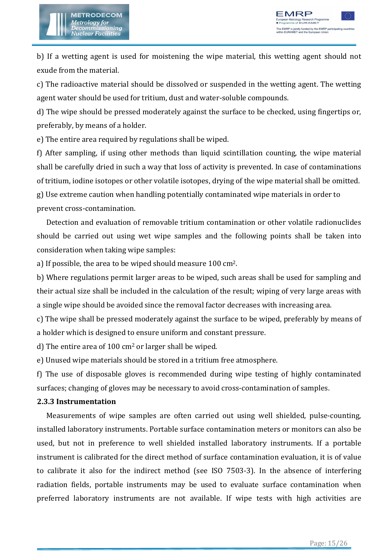

b) If a wetting agent is used for moistening the wipe material, this wetting agent should not exude from the material.

c) The radioactive material should be dissolved or suspended in the wetting agent. The wetting agent water should be used for tritium, dust and water-soluble compounds.

d) The wipe should be pressed moderately against the surface to be checked, using fingertips or, preferably, by means of a holder.

e) The entire area required by regulations shall be wiped.

f) After sampling, if using other methods than liquid scintillation counting, the wipe material shall be carefully dried in such a way that loss of activity is prevented. In case of contaminations of tritium, iodine isotopes or other volatile isotopes, drying of the wipe material shall be omitted. g) Use extreme caution when handling potentially contaminated wipe materials in order to prevent cross-contamination.

Detection and evaluation of removable tritium contamination or other volatile radionuclides should be carried out using wet wipe samples and the following points shall be taken into consideration when taking wipe samples:

a) If possible, the area to be wiped should measure 100 cm2.

b) Where regulations permit larger areas to be wiped, such areas shall be used for sampling and their actual size shall be included in the calculation of the result; wiping of very large areas with a single wipe should be avoided since the removal factor decreases with increasing area.

c) The wipe shall be pressed moderately against the surface to be wiped, preferably by means of a holder which is designed to ensure uniform and constant pressure.

d) The entire area of 100 cm2 or larger shall be wiped.

e) Unused wipe materials should be stored in a tritium free atmosphere.

f) The use of disposable gloves is recommended during wipe testing of highly contaminated surfaces; changing of gloves may be necessary to avoid cross-contamination of samples.

#### **2.3.3 Instrumentation**

Measurements of wipe samples are often carried out using well shielded, pulse-counting, installed laboratory instruments. Portable surface contamination meters or monitors can also be used, but not in preference to well shielded installed laboratory instruments. If a portable instrument is calibrated for the direct method of surface contamination evaluation, it is of value to calibrate it also for the indirect method (see ISO 7503-3). In the absence of interfering radiation fields, portable instruments may be used to evaluate surface contamination when preferred laboratory instruments are not available. If wipe tests with high activities are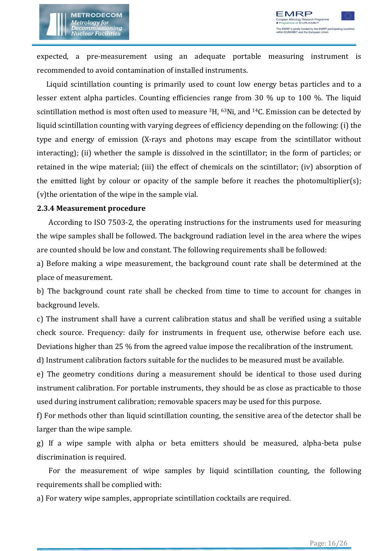

expected, a pre-measurement using an adequate portable measuring instrument is recommended to avoid contamination of installed instruments.

Liquid scintillation counting is primarily used to count low energy betas particles and to a lesser extent alpha particles. Counting efficiencies range from 30 % up to 100 %. The liquid scintillation method is most often used to measure  ${}^{3}H$ ,  ${}^{63}Ni$ , and  ${}^{14}C$ . Emission can be detected by liquid scintillation counting with varying degrees of efficiency depending on the following: (i) the type and energy of emission (X-rays and photons may escape from the scintillator without interacting); (ii) whether the sample is dissolved in the scintillator; in the form of particles; or retained in the wipe material; (iii) the effect of chemicals on the scintillator; (iv) absorption of the emitted light by colour or opacity of the sample before it reaches the photomultiplier(s); (v)the orientation of the wipe in the sample vial.

#### **2.3.4 Measurement procedure**

According to ISO 7503-2, the operating instructions for the instruments used for measuring the wipe samples shall be followed. The background radiation level in the area where the wipes are counted should be low and constant. The following requirements shall be followed:

a) Before making a wipe measurement, the background count rate shall be determined at the place of measurement.

b) The background count rate shall be checked from time to time to account for changes in background levels.

c) The instrument shall have a current calibration status and shall be verified using a suitable check source. Frequency: daily for instruments in frequent use, otherwise before each use. Deviations higher than 25 % from the agreed value impose the recalibration of the instrument.

d) Instrument calibration factors suitable for the nuclides to be measured must be available.

e) The geometry conditions during a measurement should be identical to those used during instrument calibration. For portable instruments, they should be as close as practicable to those used during instrument calibration; removable spacers may be used for this purpose.

f) For methods other than liquid scintillation counting, the sensitive area of the detector shall be larger than the wipe sample.

g) If a wipe sample with alpha or beta emitters should be measured, alpha-beta pulse discrimination is required.

For the measurement of wipe samples by liquid scintillation counting, the following requirements shall be complied with:

a) For watery wipe samples, appropriate scintillation cocktails are required.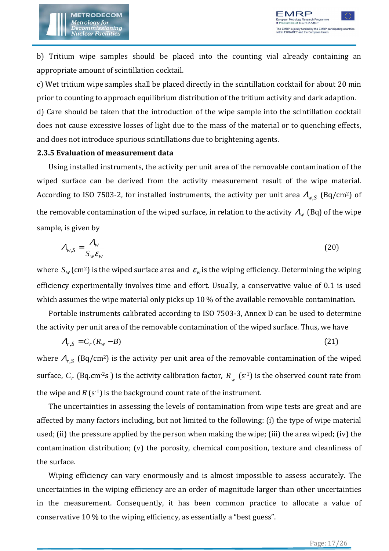

b) Tritium wipe samples should be placed into the counting vial already containing an appropriate amount of scintillation cocktail.

c) Wet tritium wipe samples shall be placed directly in the scintillation cocktail for about 20 min prior to counting to approach equilibrium distribution of the tritium activity and dark adaption.

d) Care should be taken that the introduction of the wipe sample into the scintillation cocktail does not cause excessive losses of light due to the mass of the material or to quenching effects, and does not introduce spurious scintillations due to brightening agents.

#### **2.3.5 Evaluation of measurement data**

Using installed instruments, the activity per unit area of the removable contamination of the wiped surface can be derived from the activity measurement result of the wipe material. According to ISO 7503-2, for installed instruments, the activity per unit area  $A_{w, S}$  (Bq/cm<sup>2</sup>) of the removable contamination of the wiped surface, in relation to the activity <sup>Λ</sup>*w* (Bq) of the wipe sample, is given by

$$
A_{w,S} = \frac{A_w}{S_w \varepsilon_w} \tag{20}
$$

where  $S_w$  (cm<sup>2</sup>) is the wiped surface area and  $\varepsilon_w$  is the wiping efficiency. Determining the wiping efficiency experimentally involves time and effort. Usually, a conservative value of 0.1 is used which assumes the wipe material only picks up 10 % of the available removable contamination.

Portable instruments calibrated according to ISO 7503-3, Annex D can be used to determine the activity per unit area of the removable contamination of the wiped surface. Thus, we have

$$
A_{r,S} = C_r (R_w - B) \tag{21}
$$

where  $A_{r, S}$  (Bq/cm<sup>2</sup>) is the activity per unit area of the removable contamination of the wiped surface,  $C_r$  (Bq.cm<sup>-2</sup>s ) is the activity calibration factor,  $R_{_{W}}$  (s<sup>-1</sup>) is the observed count rate from the wipe and  $B(s^{-1})$  is the background count rate of the instrument.

The uncertainties in assessing the levels of contamination from wipe tests are great and are affected by many factors including, but not limited to the following: (i) the type of wipe material used; (ii) the pressure applied by the person when making the wipe; (iii) the area wiped; (iv) the contamination distribution; (v) the porosity, chemical composition, texture and cleanliness of the surface.

Wiping efficiency can vary enormously and is almost impossible to assess accurately. The uncertainties in the wiping efficiency are an order of magnitude larger than other uncertainties in the measurement. Consequently, it has been common practice to allocate a value of conservative 10 % to the wiping efficiency, as essentially a "best guess".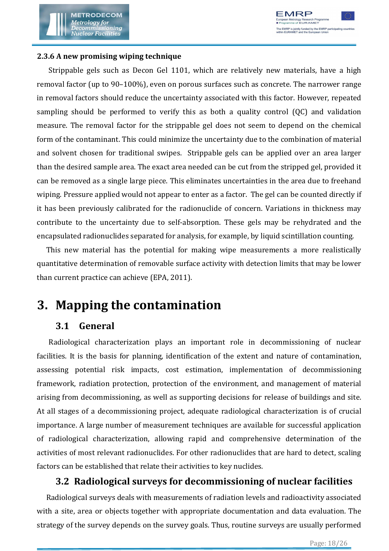

#### **2.3.6 A new promising wiping technique**

Strippable gels such as Decon Gel 1101, which are relatively new materials, have a high removal factor (up to 90–100%), even on porous surfaces such as concrete. The narrower range in removal factors should reduce the uncertainty associated with this factor. However, repeated sampling should be performed to verify this as both a quality control (QC) and validation measure. The removal factor for the strippable gel does not seem to depend on the chemical form of the contaminant. This could minimize the uncertainty due to the combination of material and solvent chosen for traditional swipes. Strippable gels can be applied over an area larger than the desired sample area. The exact area needed can be cut from the stripped gel, provided it can be removed as a single large piece. This eliminates uncertainties in the area due to freehand wiping. Pressure applied would not appear to enter as a factor. The gel can be counted directly if it has been previously calibrated for the radionuclide of concern. Variations in thickness may contribute to the uncertainty due to self-absorption. These gels may be rehydrated and the encapsulated radionuclides separated for analysis, for example, by liquid scintillation counting.

This new material has the potential for making wipe measurements a more realistically quantitative determination of removable surface activity with detection limits that may be lower than current practice can achieve (EPA, 2011).

### **3. Mapping the contamination**

#### **3.1 General**

Radiological characterization plays an important role in decommissioning of nuclear facilities. It is the basis for planning, identification of the extent and nature of contamination, assessing potential risk impacts, cost estimation, implementation of decommissioning framework, radiation protection, protection of the environment, and management of material arising from decommissioning, as well as supporting decisions for release of buildings and site. At all stages of a decommissioning project, adequate radiological characterization is of crucial importance. A large number of measurement techniques are available for successful application of radiological characterization, allowing rapid and comprehensive determination of the activities of most relevant radionuclides. For other radionuclides that are hard to detect, scaling factors can be established that relate their activities to key nuclides.

#### **3.2 Radiological surveys for decommissioning of nuclear facilities**

Radiological surveys deals with measurements of radiation levels and radioactivity associated with a site, area or objects together with appropriate documentation and data evaluation. The strategy of the survey depends on the survey goals. Thus, routine surveys are usually performed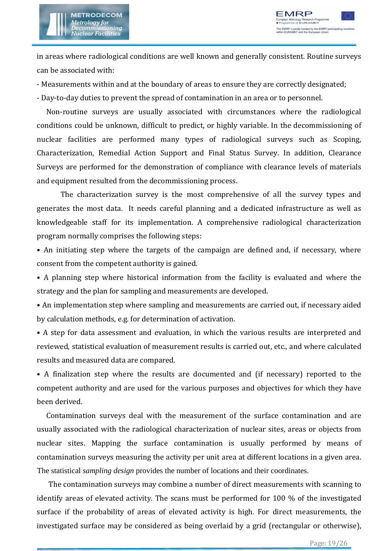

in areas where radiological conditions are well known and generally consistent. Routine surveys can be associated with:

- Measurements within and at the boundary of areas to ensure they are correctly designated;

- Day-to-day duties to prevent the spread of contamination in an area or to personnel.

Non-routine surveys are usually associated with circumstances where the radiological conditions could be unknown, difficult to predict, or highly variable. In the decommissioning of nuclear facilities are performed many types of radiological surveys such as Scoping, Characterization, Remedial Action Support and Final Status Survey. In addition, Clearance Surveys are performed for the demonstration of compliance with clearance levels of materials and equipment resulted from the decommissioning process.

The characterization survey is the most comprehensive of all the survey types and generates the most data. It needs careful planning and a dedicated infrastructure as well as knowledgeable staff for its implementation. A comprehensive radiological characterization program normally comprises the following steps:

• An initiating step where the targets of the campaign are defined and, if necessary, where consent from the competent authority is gained.

• A planning step where historical information from the facility is evaluated and where the strategy and the plan for sampling and measurements are developed.

• An implementation step where sampling and measurements are carried out, if necessary aided by calculation methods, e.g. for determination of activation.

• A step for data assessment and evaluation, in which the various results are interpreted and reviewed, statistical evaluation of measurement results is carried out, etc., and where calculated results and measured data are compared.

• A finalization step where the results are documented and (if necessary) reported to the competent authority and are used for the various purposes and objectives for which they have been derived.

Contamination surveys deal with the measurement of the surface contamination and are usually associated with the radiological characterization of nuclear sites, areas or objects from nuclear sites. Mapping the surface contamination is usually performed by means of contamination surveys measuring the activity per unit area at different locations in a given area. The statistical *sampling design* provides the number of locations and their coordinates.

The contamination surveys may combine a number of direct measurements with scanning to identify areas of elevated activity. The scans must be performed for 100 % of the investigated surface if the probability of areas of elevated activity is high. For direct measurements, the investigated surface may be considered as being overlaid by a grid (rectangular or otherwise),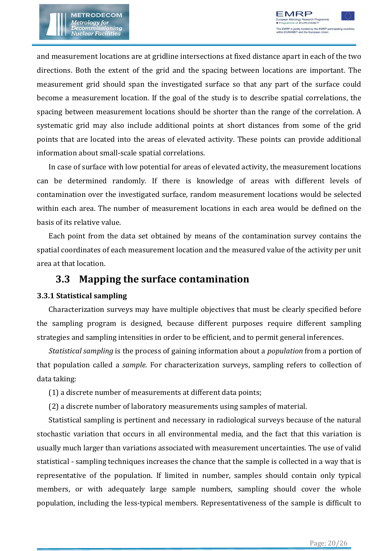and measurement locations are at gridline intersections at fixed distance apart in each of the two directions. Both the extent of the grid and the spacing between locations are important. The measurement grid should span the investigated surface so that any part of the surface could become a measurement location. If the goal of the study is to describe spatial correlations, the spacing between measurement locations should be shorter than the range of the correlation. A systematic grid may also include additional points at short distances from some of the grid points that are located into the areas of elevated activity. These points can provide additional information about small-scale spatial correlations.

In case of surface with low potential for areas of elevated activity, the measurement locations can be determined randomly. If there is knowledge of areas with different levels of contamination over the investigated surface, random measurement locations would be selected within each area. The number of measurement locations in each area would be defined on the basis of its relative value.

Each point from the data set obtained by means of the contamination survey contains the spatial coordinates of each measurement location and the measured value of the activity per unit area at that location.

#### **3.3 Mapping the surface contamination**

#### **3.3.1 Statistical sampling**

Characterization surveys may have multiple objectives that must be clearly specified before the sampling program is designed, because different purposes require different sampling strategies and sampling intensities in order to be efficient, and to permit general inferences.

*Statistical sampling* is the process of gaining information about a *population* from a portion of that population called a *sample.* For characterization surveys, sampling refers to collection of data taking:

(1) a discrete number of measurements at different data points;

(2) a discrete number of laboratory measurements using samples of material.

Statistical sampling is pertinent and necessary in radiological surveys because of the natural stochastic variation that occurs in all environmental media, and the fact that this variation is usually much larger than variations associated with measurement uncertainties. The use of valid statistical - sampling techniques increases the chance that the sample is collected in a way that is representative of the population. If limited in number, samples should contain only typical members, or with adequately large sample numbers, sampling should cover the whole population, including the less-typical members. Representativeness of the sample is difficult to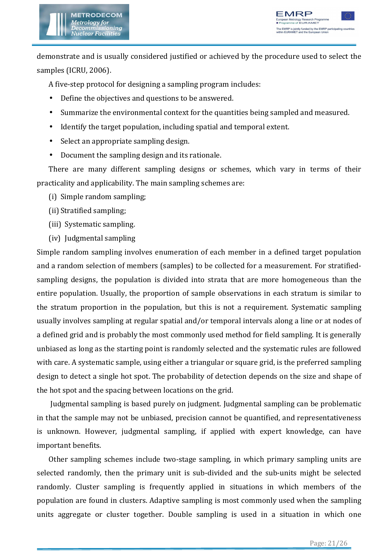



demonstrate and is usually considered justified or achieved by the procedure used to select the samples (ICRU, 2006).

A five-step protocol for designing a sampling program includes:

- Define the objectives and questions to be answered.
- Summarize the environmental context for the quantities being sampled and measured.
- Identify the target population, including spatial and temporal extent.
- Select an appropriate sampling design.
- Document the sampling design and its rationale.

There are many different sampling designs or schemes, which vary in terms of their practicality and applicability. The main sampling schemes are:

- (i) Simple random sampling;
- (ii) Stratified sampling;
- (iii) Systematic sampling.
- (iv) Judgmental sampling

Simple random sampling involves enumeration of each member in a defined target population and a random selection of members (samples) to be collected for a measurement. For stratifiedsampling designs, the population is divided into strata that are more homogeneous than the entire population. Usually, the proportion of sample observations in each stratum is similar to the stratum proportion in the population, but this is not a requirement. Systematic sampling usually involves sampling at regular spatial and/or temporal intervals along a line or at nodes of a defined grid and is probably the most commonly used method for field sampling. It is generally unbiased as long as the starting point is randomly selected and the systematic rules are followed with care. A systematic sample, using either a triangular or square grid, is the preferred sampling design to detect a single hot spot. The probability of detection depends on the size and shape of the hot spot and the spacing between locations on the grid.

 Judgmental sampling is based purely on judgment. Judgmental sampling can be problematic in that the sample may not be unbiased, precision cannot be quantified, and representativeness is unknown. However, judgmental sampling, if applied with expert knowledge, can have important benefits.

Other sampling schemes include two-stage sampling, in which primary sampling units are selected randomly, then the primary unit is sub-divided and the sub-units might be selected randomly. Cluster sampling is frequently applied in situations in which members of the population are found in clusters. Adaptive sampling is most commonly used when the sampling units aggregate or cluster together. Double sampling is used in a situation in which one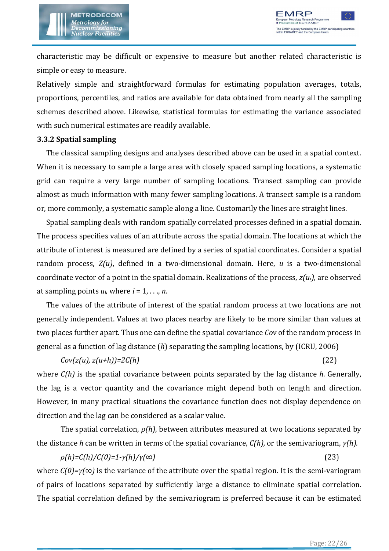

characteristic may be difficult or expensive to measure but another related characteristic is simple or easy to measure.

Relatively simple and straightforward formulas for estimating population averages, totals, proportions, percentiles, and ratios are available for data obtained from nearly all the sampling schemes described above. Likewise, statistical formulas for estimating the variance associated with such numerical estimates are readily available.

#### **3.3.2 Spatial sampling**

The classical sampling designs and analyses described above can be used in a spatial context. When it is necessary to sample a large area with closely spaced sampling locations, a systematic grid can require a very large number of sampling locations. Transect sampling can provide almost as much information with many fewer sampling locations. A transect sample is a random or, more commonly, a systematic sample along a line. Customarily the lines are straight lines.

Spatial sampling deals with random spatially correlated processes defined in a spatial domain. The process specifies values of an attribute across the spatial domain. The locations at which the attribute of interest is measured are defined by a series of spatial coordinates. Consider a spatial random process, *Z(u)*, defined in a two-dimensional domain. Here, *u* is a two-dimensional coordinate vector of a point in the spatial domain. Realizations of the process, *z(ui),* are observed at sampling points  $u_i$ , where  $i = 1, \ldots, n$ .

The values of the attribute of interest of the spatial random process at two locations are not generally independent. Values at two places nearby are likely to be more similar than values at two places further apart. Thus one can define the spatial covariance *Cov* of the random process in general as a function of lag distance (*h*) separating the sampling locations, by (ICRU, 2006)

$$
Cov(z(u), z(u+h)) = 2C(h) \tag{22}
$$

where *C(h)* is the spatial covariance between points separated by the lag distance *h*. Generally, the lag is a vector quantity and the covariance might depend both on length and direction. However, in many practical situations the covariance function does not display dependence on direction and the lag can be considered as a scalar value.

 The spatial correlation, *ρ(h)*, between attributes measured at two locations separated by the distance *h* can be written in terms of the spatial covariance, *C(h),* or the semivariogram, *γ(h).*

*ρ(h)=C(h)/C(0)=1-γ(h)/γ(∞)* (23) where *C(0)=γ(∞)* is the variance of the attribute over the spatial region. It is the semi-variogram of pairs of locations separated by sufficiently large a distance to eliminate spatial correlation. The spatial correlation defined by the semivariogram is preferred because it can be estimated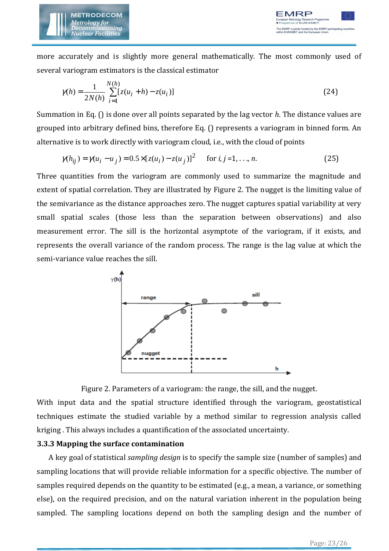

more accurately and is slightly more general mathematically. The most commonly used of several variogram estimators is the classical estimator

$$
\gamma(h) = \frac{1}{2N(h)} \sum_{i=1}^{N(h)} [z(u_i + h) - z(u_i)]
$$
\n(24)

Summation in Eq. () is done over all points separated by the lag vector *h*. The distance values are grouped into arbitrary defined bins, therefore Eq. () represents a variogram in binned form. An alternative is to work directly with variogram cloud, i.e., with the cloud of points

$$
\gamma(h_{ij}) = \gamma(u_i - u_j) = 0.5 \times [z(u_i) - z(u_j)]^2 \quad \text{for } i, j = 1, ..., n.
$$
 (25)

Three quantities from the variogram are commonly used to summarize the magnitude and extent of spatial correlation. They are illustrated by Figure 2. The nugget is the limiting value of the semivariance as the distance approaches zero. The nugget captures spatial variability at very small spatial scales (those less than the separation between observations) and also measurement error. The sill is the horizontal asymptote of the variogram, if it exists, and represents the overall variance of the random process. The range is the lag value at which the semi-variance value reaches the sill.





With input data and the spatial structure identified through the variogram, geostatistical techniques estimate the studied variable by a method similar to regression analysis called kriging . This always includes a quantification of the associated uncertainty.

#### **3.3.3 Mapping the surface contamination**

A key goal of statistical *sampling design* is to specify the sample size (number of samples) and sampling locations that will provide reliable information for a specific objective. The number of samples required depends on the quantity to be estimated (e.g., a mean, a variance, or something else), on the required precision, and on the natural variation inherent in the population being sampled. The sampling locations depend on both the sampling design and the number of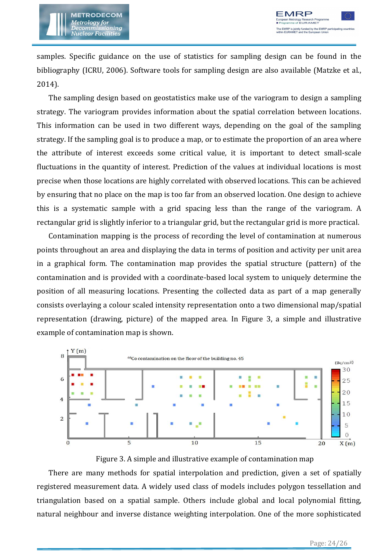

samples. Specific guidance on the use of statistics for sampling design can be found in the bibliography (ICRU, 2006). Software tools for sampling design are also available (Matzke et al., 2014).

The sampling design based on geostatistics make use of the variogram to design a sampling strategy. The variogram provides information about the spatial correlation between locations. This information can be used in two different ways, depending on the goal of the sampling strategy. If the sampling goal is to produce a map, or to estimate the proportion of an area where the attribute of interest exceeds some critical value, it is important to detect small-scale fluctuations in the quantity of interest. Prediction of the values at individual locations is most precise when those locations are highly correlated with observed locations. This can be achieved by ensuring that no place on the map is too far from an observed location. One design to achieve this is a systematic sample with a grid spacing less than the range of the variogram. A rectangular grid is slightly inferior to a triangular grid, but the rectangular grid is more practical.

Contamination mapping is the process of recording the level of contamination at numerous points throughout an area and displaying the data in terms of position and activity per unit area in a graphical form. The contamination map provides the spatial structure (pattern) of the contamination and is provided with a coordinate-based local system to uniquely determine the position of all measuring locations. Presenting the collected data as part of a map generally consists overlaying a colour scaled intensity representation onto a two dimensional map/spatial representation (drawing, picture) of the mapped area. In Figure 3, a simple and illustrative example of contamination map is shown.



Figure 3. A simple and illustrative example of contamination map

There are many methods for spatial interpolation and prediction, given a set of spatially registered measurement data. A widely used class of models includes polygon tessellation and triangulation based on a spatial sample. Others include global and local polynomial fitting, natural neighbour and inverse distance weighting interpolation. One of the more sophisticated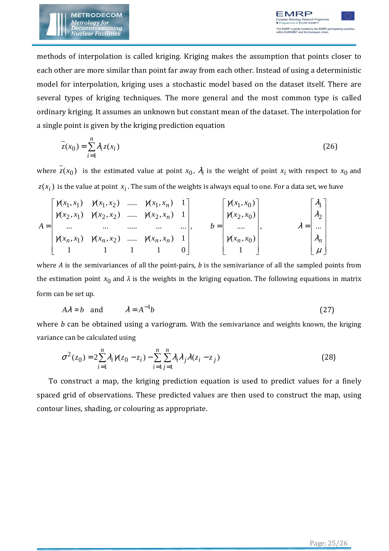

methods of interpolation is called kriging. Kriging makes the assumption that points closer to each other are more similar than point far away from each other. Instead of using a deterministic model for interpolation, kriging uses a stochastic model based on the dataset itself. There are several types of kriging techniques. The more general and the most common type is called ordinary kriging. It assumes an unknown but constant mean of the dataset. The interpolation for a single point is given by the kriging prediction equation

$$
\overline{z}(x_0) = \sum_{i=1}^{n} \lambda_i z(x_i)
$$
\n(26)

where  $z(x_0)$  is the estimated value at point  $x_0$ ,  $\lambda_i$  is the weight of point  $x_i$  with respect to  $x_0$  and  $z(x_i)$  is the value at point  $x_i$  . The sum of the weights is always equal to one. For a data set, we have

$$
A = \begin{bmatrix} \gamma(x_1, x_1) & \gamma(x_1, x_2) & \dots & \gamma(x_1, x_n) & 1 \\ \gamma(x_2, x_1) & \gamma(x_2, x_2) & \dots & \gamma(x_2, x_n) & 1 \\ \dots & \dots & \dots & \dots & \dots \\ \gamma(x_n, x_1) & \gamma(x_n, x_2) & \dots & \gamma(x_n, x_n) & 1 \\ 1 & 1 & 1 & 1 & 0 \end{bmatrix}, \qquad b = \begin{bmatrix} \gamma(x_1, x_0) \\ \gamma(x_2, x_0) \\ \dots \\ \gamma(x_n, x_0) \\ 1 \end{bmatrix}, \qquad \lambda = \begin{bmatrix} \lambda_1 \\ \lambda_2 \\ \dots \\ \lambda_n \\ \mu \end{bmatrix}
$$

where *A* is the semivariances of all the point-pairs, *b* is the semivariance of all the sampled points from the estimation point  $x_0$  and  $\lambda$  is the weights in the kriging equation. The following equations in matrix form can be set up.

$$
A\lambda = b \quad \text{and} \quad \lambda = A^{-1}b \tag{27}
$$

where *b* can be obtained using a variogram. With the semivariance and weights known, the kriging variance can be calculated using

$$
\sigma^{2}(z_{0}) = 2\sum_{i=1}^{n} \lambda_{i} \gamma(z_{0} - z_{i}) - \sum_{i=1}^{n} \sum_{j=1}^{n} \lambda_{i} \lambda_{j} \lambda(z_{i} - z_{j})
$$
(28)

To construct a map, the kriging prediction equation is used to predict values for a finely spaced grid of observations. These predicted values are then used to construct the map, using contour lines, shading, or colouring as appropriate.